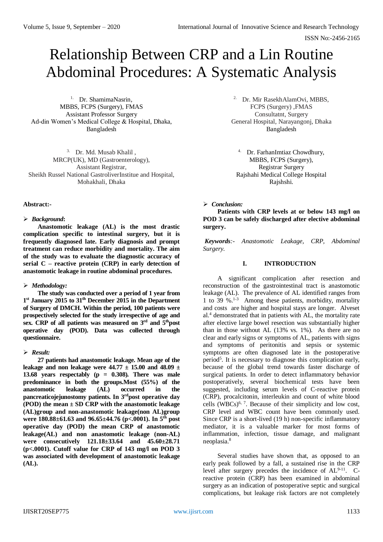# Relationship Between CRP and a Lin Routine Abdominal Procedures: A Systematic Analysis

1. Dr. ShamimaNasrin, MBBS, FCPS (Surgery), FMAS Assistant Professor Surgery Ad-din Women's Medical College & Hospital, Dhaka, Bangladesh

3. Dr. Md. Musab Khalil , MRCP(UK), MD (Gastroenterology), Assistant Registrar, Sheikh Russel National GastroliverInstitue and Hospital, Mohakhali, Dhaka

## **Abstract:-**

## *Background***:**

**Anastomotic leakage (AL) is the most drastic complication specific to intestinal surgery, but it is frequently diagnosed late. Early diagnosis and prompt treatment can reduce morbidity and mortality. The aim of the study was to evaluate the diagnostic accuracy of serial C – reactive protein (CRP) in early detection of anastomotic leakage in routine abdominal procedures.**

## *Methodology:*

**The study was conducted over a period of 1 year from 1 st January 2015 to 31th December 2015 in the Department of Surgery of DMCH. Within the period, 100 patients were prospectively selected for the study irrespective of age and sex. CRP of all patients was measured on 3rd and 5thpost operative day (POD). Data was collected through questionnaire.**

## *Result:*

**27 patients had anastomotic leakage. Mean age of the leakage and non leakage were 44.77 ± 15.00 and 48.09 ± 13.68 years respectably (p = 0.308). There was male predominance in both the groups.Most (55%) of the anastomotic leakage (AL) occurred in the pancreaticojejunostomy patients. In 3rdpost operative day (POD) the mean ± SD CRP with the anastomotic leakage (AL)group and non-anastomotic leakage(non AL)group were 180.88±61.63 and 96.65±44.76 (p<.0001). In 5 th post operative day (POD) the mean CRP of anastomotic leakage(AL) and non anastomotic leakage (non-AL) were consecutively 121.18±33.64 and 45.60±28.71 (p<.0001). Cutoff value for CRP of 143 mg/l on POD 3 was associated with development of anastomotic leakage (AL).**

2. Dr. Mir RasekhAlamOvi, MBBS, FCPS (Surgery) ,FMAS Consultatnt, Surgery General Hospital, Narayangonj, Dhaka Bangladesh

4. Dr. FarhanImtiaz Chowdhury, MBBS, FCPS (Surgery), Registrar Surgery Rajshahi Medical College Hospital Rajshshi.

# *Conclusion:*

**Patients with CRP levels at or below 143 mg/l on POD 3 can be safely discharged after elective abdominal surgery.**

*Keywords:- Anastomotic Leakage, CRP, Abdominal Surgery.*

# **I. INTRODUCTION**

A significant complication after resection and reconstruction of the gastrointestinal tract is anastomotic leakage (AL). The prevalence of AL identified ranges from 1 to 39 %.1-3 Among these patients, morbidity, mortality and costs are higher and hospital stays are longer. Alveset al.<sup>4</sup> demonstrated that in patients with AL, the mortality rate after elective large bowel resection was substantially higher than in those without AL (13% vs. 1%). As there are no clear and early signs or symptoms of AL, patients with signs and symptoms of peritonitis and sepsis or systemic symptoms are often diagnosed late in the postoperative period<sup>5</sup>. It is necessary to diagnose this complication early, because of the global trend towards faster discharge of surgical patients. In order to detect inflammatory behavior postoperatively, several biochemical tests have been suggested, including serum levels of C-reactive protein (CRP), procalcitonin, interleukin and count of white blood cells  $(WBCs)^{6, 7}$ . Because of their simplicity and low cost, CRP level and WBC count have been commonly used. Since CRP is a short-lived (19 h) non-specific inflammatory mediator, it is a valuable marker for most forms of inflammation, infection, tissue damage, and malignant neoplasia.<sup>8</sup>

Several studies have shown that, as opposed to an early peak followed by a fall, a sustained rise in the CRP level after surgery precedes the incidence of  $AL^{9-11}$ . Creactive protein (CRP) has been examined in abdominal surgery as an indication of postoperative septic and surgical complications, but leakage risk factors are not completely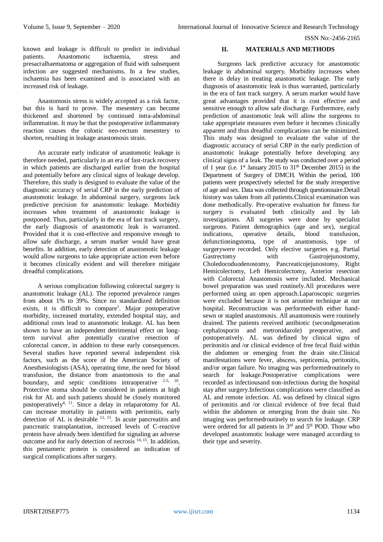known and leakage is difficult to predict in individual patients. Anastomotic ischaemia, stress and presacralhaematoma or aggregation of fluid with subsequent infection are suggested mechanisms. In a few studies, ischaemia has been examined and is associated with an increased risk of leakage.

Anastomosis stress is widely accepted as a risk factor, but this is hard to prove. The mesentery can become thickened and shortened by continued intra-abdominal inflammation. It may be that the postoperative inflammatory reaction causes the colonic neo-rectum mesentery to shorten, resulting in leakage anastomosis strain.

An accurate early indicator of anastomotic leakage is therefore needed, particularly in an era of fast-track recovery in which patients are discharged earlier from the hospital and potentially before any clinical signs of leakage develop. Therefore, this study is designed to evaluate the value of the diagnostic accuracy of serial CRP in the early prediction of anastomotic leakage. In abdominal surgery, surgeons lack predictive precision for anastomotic leakage. Morbidity increases when treatment of anastomotic leakage is postponed. Thus, particularly in the era of fast track surgery, the early diagnosis of anastomotic leak is warranted. Provided that it is cost-effective and responsive enough to allow safe discharge, a serum marker would have great benefits. In addition, early detection of anastomotic leakage would allow surgeons to take appropriate action even before it becomes clinically evident and will therefore mitigate dreadful complications.

A serious complication following colorectal surgery is anastomotic leakage (AL). The reported prevalence ranges from about 1% to 39%. Since no standardized definition exists, it is difficult to compare<sup>1</sup>. Major postoperative morbidity, increased mortality, extended hospital stay, and additional costs lead to anastomotic leakage. AL has been shown to have an independent detrimental effect on longterm survival after potentially curative resection of colorectal cancer, in addition to these early consequences. Several studies have reported several independent risk factors, such as the score of the American Society of Anesthesiologists (ASA), operating time, the need for blood transfusion, the distance from anastomosis to the anal boundary, and septic conditions intraoperative <sup>2-5, 10</sup>. Protective stoma should be considered in patients at high risk for AL and such patients should be closely monitored postoperatively4, 11. Since a delay in relaparotomy for AL can increase mortality in patients with peritonitis, early detection of AL is desirable  $12, 13$ . In acute pancreatitis and pancreatic transplantation, increased levels of C-reactive protein have already been identified for signaling an adverse outcome and for early detection of necrosis  $14, 15$ . In addition, this pentameric protein is considered an indication of surgical complications after surgery.

## **II. MATERIALS AND METHODS**

Surgeons lack predictive accuracy for anastomotic leakage in abdominal surgery. Morbidity increases when there is delay in treating anastomotic leakage. The early diagnosis of anastomotic leak is thus warranted, particularly in the era of fast track surgery. A serum marker would have great advantages provided that it is cost effective and sensitive enough to allow safe discharge. Furthermore, early prediction of anastomotic leak will allow the surgeons to take appropriate measures even before it becomes clinically apparent and thus dreadful complications can be minimized. This study was designed to evaluate the value of the diagnostic accuracy of serial CRP in the early prediction of anastomotic leakage potentially before developing any clinical signs of a leak. The study was conducted over a period of 1 year (i.e.  $1<sup>st</sup>$  January 2015 to 31<sup>th</sup> December 2015) in the Department of Surgery of DMCH. Within the period, 100 patients were prospectively selected for the study irrespective of age and sex. Data was collected through questionnaire.Detail history was taken from all patients.Clinical examination was done methodically. Pre-operative evaluation for fitness for surgery is evaluated both clinically and by lab investigations. All surgeries were done by specialist surgeons. Patient demographics (age and sex), surgical indications, operative details, blood transfusion, defunctioningstoma, type of anastomosis, type of surgerywere recorded. Only elective surgeries e.g. Partial Gastrectomy with Gastrojejunostomy, Choledocoduodenostomy, Pancreaticojejunostomy, Right Hemicolectomy, Left Hemicolectomy, Anterior resection with Colorectal Anastomosis were included. Mechanical bowel preparation was used routinely.All procedures were performed using an open approach.Laparoscopic surgeries were excluded because it is not aroutine technique at our hospital. Reconstruction was performedwith either handsewn or stapled anastomosis. All anastomosis were routinely drained. The patients received antibiotic (secondgeneration cephalosporin and metronidazole) preoperative, and postoperatively. AL was defined by clinical signs of peritonitis and /or clinical evidence of free fecal fluid within the abdomen or emerging from the drain site.Clinical manifestations were fever, abscess, septicemia, peritonitis, and/or organ failure. No imaging was performedroutinely to search for leakage.Postoperative complications were recorded as infectiousand non-infectious during the hospital stay after surgery.Infectious complications were classified as AL and remote infection. AL was defined by clinical signs of peritonitis and /or clinical evidence of free fecal fluid within the abdomen or emerging from the drain site. No imaging was performedroutinely to search for leakage. CRP were ordered for all patients in  $3<sup>rd</sup>$  and  $5<sup>th</sup>$  POD. Those who developed anastomotic leakage were managed according to their type and severity.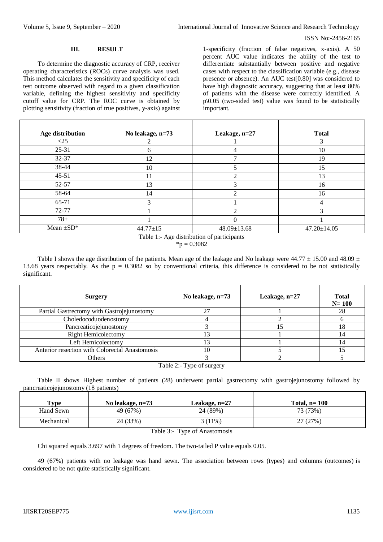#### **III. RESULT**

To determine the diagnostic accuracy of CRP, receiver operating characteristics (ROCs) curve analysis was used. This method calculates the sensitivity and specificity of each test outcome observed with regard to a given classification variable, defining the highest sensitivity and specificity cutoff value for CRP. The ROC curve is obtained by plotting sensitivity (fraction of true positives, y-axis) against 1-specificity (fraction of false negatives, x-axis). A 50 percent AUC value indicates the ability of the test to differentiate substantially between positive and negative cases with respect to the classification variable (e.g., disease presence or absence). An AUC test[0.80] was considered to have high diagnostic accuracy, suggesting that at least 80% of patients with the disease were correctly identified. A  $p\$ 0.05 (two-sided test) value was found to be statistically important.

| Age distribution | No leakage, n=73 | Leakage, n=27  | <b>Total</b>      |
|------------------|------------------|----------------|-------------------|
| $\leq$ 25        |                  |                |                   |
| 25-31            | n                | 4              | 10                |
| $32 - 37$        | 12               | ⇁              | 19                |
| 38-44            | 10               |                | 15                |
| $45-51$          | 11               | 2              | 13                |
| $52 - 57$        | 13               | 3              | 16                |
| 58-64            | 14               | ↑              | 16                |
| 65-71            | ⌒                |                |                   |
| 72-77            |                  | $\mathfrak{D}$ |                   |
| $78+$            |                  | $\Omega$       |                   |
| Mean $\pm SD^*$  | $44.77 \pm 15$   | 48.09±13.68    | $47.20 \pm 14.05$ |
|                  |                  |                |                   |

Table 1:- Age distribution of participants  ${}^*p = 0.3082$ 

Table I shows the age distribution of the patients. Mean age of the leakage and No leakage were  $44.77 \pm 15.00$  and  $48.09 \pm 10^{-10}$ 13.68 years respectably. As the  $p = 0.3082$  so by conventional criteria, this difference is considered to be not statistically significant.

| <b>Surgery</b>                                 | No leakage, n=73 | Leakage, $n=27$ | <b>Total</b><br>$N = 100$ |  |  |
|------------------------------------------------|------------------|-----------------|---------------------------|--|--|
| Partial Gastrectomy with Gastrojejunostomy     | 27               |                 | 28                        |  |  |
| Choledocoduodenostomy                          |                  |                 |                           |  |  |
| Pancreaticojejunostomy                         |                  | 15              | 18                        |  |  |
| <b>Right Hemicolectomy</b>                     | 13               |                 | 14                        |  |  |
| Left Hemicolectomy                             |                  |                 |                           |  |  |
| Anterior resection with Colorectal Anastomosis | 10               |                 |                           |  |  |
| <b>Others</b>                                  |                  |                 |                           |  |  |
| Table 2:- Type of surgery                      |                  |                 |                           |  |  |

Table II shows Highest number of patients (28) underwent partial gastrectomy with gastrojejunostomy followed by pancreaticojejunostomy (18 patients)

| <b>Type</b> | No leakage, n=73 | Leakage, n=27 | Total, $n=100$ |  |
|-------------|------------------|---------------|----------------|--|
| Hand Sewn   | 49 (67%)         | 24 (89%)      | 73 (73%)       |  |
| Mechanical  | 24 (33%)         | $3(11\%)$     | 27 (27%)       |  |
| _ _         |                  |               |                |  |

Table 3:- Type of Anastomosis

Chi squared equals 3.697 with 1 degrees of freedom. The two-tailed P value equals 0.05.

49 (67%) patients with no leakage was hand sewn. The association between rows (types) and columns (outcomes) is considered to be not quite statistically significant.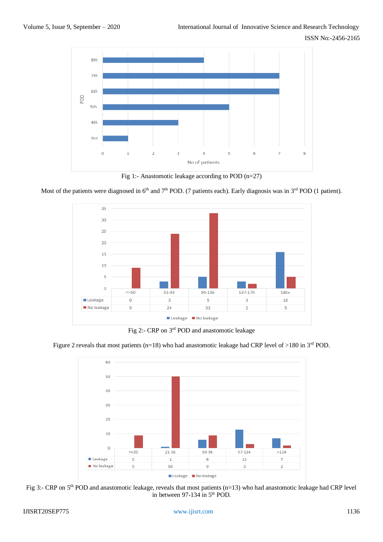

Fig 1:- Anastomotic leakage according to POD (n=27)

Most of the patients were diagnosed in  $6<sup>th</sup>$  and  $7<sup>th</sup>$  POD. (7 patients each). Early diagnosis was in  $3<sup>rd</sup>$  POD (1 patient).



Fig 2:- CRP on 3rd POD and anastomotic leakage

Figure 2 reveals that most patients (n=18) who had anastomotic leakage had CRP level of >180 in  $3<sup>rd</sup>$  POD.



Fig 3:- CRP on 5<sup>th</sup> POD and anastomotic leakage, reveals that most patients (n=13) who had anastomotic leakage had CRP level in between 97-134 in 5<sup>th</sup> POD.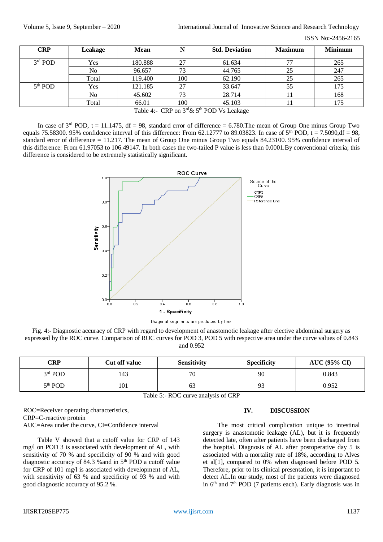ISSN No:-2456-2165

| Leakage | <b>Mean</b> | N   | <b>Std. Deviation</b> | <b>Maximum</b>                                                    | <b>Minimum</b> |
|---------|-------------|-----|-----------------------|-------------------------------------------------------------------|----------------|
| Yes     | 180.888     | 27  | 61.634                | 77                                                                | 265            |
| No      | 96.657      | 73  | 44.765                | 25                                                                | 247            |
| Total   | 119.400     | 100 | 62.190                | 25                                                                | 265            |
| Yes     | 121.185     | 27  | 33.647                | 55                                                                | 175            |
| No      | 45.602      | 73  | 28.714                |                                                                   | 168            |
| Total   | 66.01       | 100 | 45.103                |                                                                   | 175            |
|         |             |     |                       | $\alpha$ rde $\epsilon$ th <b>pop</b> $\alpha$<br>CDD<br>$T = 11$ |                |

Table 4:- CRP on  $3<sup>rd</sup> \& 5<sup>th</sup>$  POD Vs Leakage

In case of  $3<sup>rd</sup>$  POD, t = 11.1475, df = 98, standard error of difference = 6.780. The mean of Group One minus Group Two equals 75.58300. 95% confidence interval of this difference: From 62.12777 to 89.03823. In case of  $5<sup>th</sup>$  POD, t = 7.5090, df = 98, standard error of difference = 11.217. The mean of Group One minus Group Two equals 84.23100. 95% confidence interval of this difference: From 61.97053 to 106.49147. In both cases the two-tailed P value is less than 0.0001.By conventional criteria; this difference is considered to be extremely statistically significant.



Diagonal segments are produced by ties.

Fig. 4:- Diagnostic accuracy of CRP with regard to development of anastomotic leakage after elective abdominal surgery as expressed by the ROC curve. Comparison of ROC curves for POD 3, POD 5 with respective area under the curve values of 0.843 and 0.952

| CRP                 | Cut off value | <b>Sensitivity</b> | <b>Specificity</b> | <b>AUC</b> (95% CI) |
|---------------------|---------------|--------------------|--------------------|---------------------|
| $3rd$ POD           | 143           | 70                 | 90                 | 0.843               |
| 5 <sup>th</sup> POD | 101           | 63                 | 93                 | 0.952               |

Table 5:- ROC curve analysis of CRP

#### ROC=Receiver operating characteristics, CRP=C-reactive protein AUC=Area under the curve, CI=Confidence interval

Table V showed that a cutoff value for CRP of 143 mg/l on POD 3 is associated with development of AL, with sensitivity of 70 % and specificity of 90 % and with good diagnostic accuracy of 84.3 %and in 5th POD a cutoff value for CRP of 101 mg/l is associated with development of AL, with sensitivity of 63 % and specificity of 93 % and with good diagnostic accuracy of 95.2 %.

#### **IV. DISCUSSION**

The most critical complication unique to intestinal surgery is anastomotic leakage (AL), but it is frequently detected late, often after patients have been discharged from the hospital. Diagnosis of AL after postoperative day 5 is associated with a mortality rate of 18%, according to Alves et al[1], compared to 0% when diagnosed before POD 5. Therefore, prior to its clinical presentation, it is important to detect AL.In our study, most of the patients were diagnosed in  $6<sup>th</sup>$  and  $7<sup>th</sup>$  POD (7 patients each). Early diagnosis was in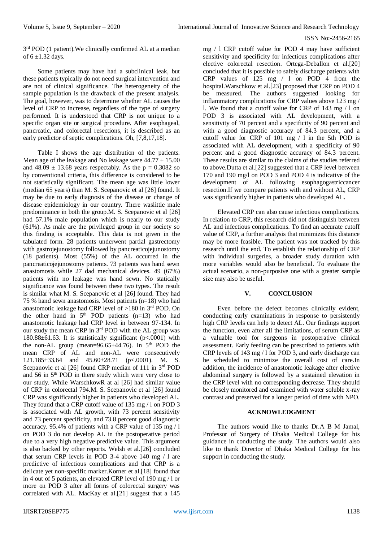3<sup>rd</sup> POD (1 patient). We clinically confirmed AL at a median of  $6 \pm 1.32$  days.

Some patients may have had a subclinical leak, but these patients typically do not need surgical intervention and are not of clinical significance. The heterogeneity of the sample population is the drawback of the present analysis. The goal, however, was to determine whether AL causes the level of CRP to increase, regardless of the type of surgery performed. It is understood that CRP is not unique to a specific organ site or surgical procedure. After esophageal, pancreatic, and colorectal resections, it is described as an early predictor of septic complications. Oh, [7,8,17,18].

Table I shows the age distribution of the patients. Mean age of the leakage and No leakage were  $44.77 \pm 15.00$ and  $48.09 \pm 13.68$  years respectably. As the p = 0.3082 so by conventional criteria, this difference is considered to be not statistically significant. The mean age was little lower (median 65 years) than M. S. Scepanovic et al [26] found. It may be due to early diagnosis of the disease or change of disease epidemiology in our country. There waslittle male predominance in both the group.M. S. Scepanovic et al [26] had 57.1% male population which is nearly to our study (61%). As male are the privileged group in our society so this finding is acceptable. This data is not given in the tabulated form. 28 patients underwent partial gastrectomy with gastrojejunostomy followed by pancreaticojejunostomy (18 patients). Most (55%) of the AL occurred in the pancreaticojejunostomy patients. 73 patients was hand sewn anastomosis while 27 dad mechanical devices. 49 (67%) patients with no leakage was hand sewn. No statically significance was found between these two types. The result is similar what M. S. Scepanovic et al [26] found. They had 75 % hand sewn anastomosis. Most patients (n=18) who had anastomotic leakage had CRP level of  $>180$  in 3<sup>rd</sup> POD. On the other hand in  $5<sup>th</sup>$  POD patients (n=13) who had anastomotic leakage had CRP level in between 97-134. In our study the mean CRP in 3rd POD with the AL group was 180.88 $\pm$ 61.63. It is statistically significant (p<.0001) with the non-AL group (mean= $96.65\pm44.76$ ). In  $5<sup>th</sup>$  POD the mean CRP of AL and non-AL were consecutively 121.185±33.64 and 45.60±28.71 (p<.0001). M. S. Scepanovic et al [26] found CRP median of 111 in 3<sup>rd</sup> POD and 56 in 5th POD in there study which were very close to our study. While WarschkowR at al [26] had similar value of CRP in colorectal 794.M. S. Scepanovic et al [26] found CRP was significantly higher in patients who developed AL. They found that a CRP cutoff value of 135 mg / l on POD 3 is associated with AL growth, with 73 percent sensitivity and 73 percent specificity, and 73.8 percent good diagnostic accuracy. 95.4% of patients with a CRP value of 135 mg / l on POD 3 do not develop AL in the postoperative period due to a very high negative predictive value. This argument is also backed by other reports. Welsh et al.[26] concluded that serum CRP levels in POD 3-4 above 140 mg / l are predictive of infectious complications and that CRP is a delicate yet non-specific marker.Korner et al.[18] found that in 4 out of 5 patients, an elevated CRP level of 190 mg / l or more on POD 3 after all forms of colorectal surgery was correlated with AL. MacKay et al.[21] suggest that a 145

mg / l CRP cutoff value for POD 4 may have sufficient sensitivity and specificity for infectious complications after elective colorectal resection. Ortega-Deballon et al.[20] concluded that it is possible to safely discharge patients with CRP values of 125 mg / l on POD 4 from the hospital.Warschkow et al.[23] proposed that CRP on POD 4 be measured. The authors suggested looking for inflammatory complications for CRP values above 123 mg / l. We found that a cutoff value for CRP of 143 mg / l on POD 3 is associated with AL development, with a sensitivity of 70 percent and a specificity of 90 percent and with a good diagnostic accuracy of 84.3 percent, and a cutoff value for CRP of 101 mg / l in the 5th POD is associated with AL development, with a specificity of 90 percent and a good diagnostic accuracy of 84.3 percent. These results are similar to the claims of the studies referred to above.Dutta et al.[22] suggested that a CRP level between 170 and 190 mg/l on POD 3 and POD 4 is indicative of the development of AL following esophagogastriccancer resection.If we compare patients with and without AL, CRP was significantly higher in patients who developed AL.

Elevated CRP can also cause infectious complications. In relation to CRP, this research did not distinguish between AL and infectious complications. To find an accurate cutoff value of CRP, a further analysis that minimizes this distance may be more feasible. The patient was not tracked by this research until the end. To establish the relationship of CRP with individual surgeries, a broader study duration with more variables would also be beneficial. To evaluate the actual scenario, a non-purposive one with a greater sample size may also be useful.

## **V. CONCLUSION**

Even before the defect becomes clinically evident, conducting early examinations in response to persistently high CRP levels can help to detect AL. Our findings support the function, even after all the limitations, of serum CRP as a valuable tool for surgeons in postoperative clinical assessment. Early feeding can be prescribed to patients with CRP levels of 143 mg / l for POD 3, and early discharge can be scheduled to minimize the overall cost of care.In addition, the incidence of anastomotic leakage after elective abdominal surgery is followed by a sustained elevation in the CRP level with no corresponding decrease. They should be closely monitored and examined with water soluble x-ray contrast and preserved for a longer period of time with NPO.

## **ACKNOWLEDGMENT**

The authors would like to thanks Dr.A B M Jamal, Professor of Surgery of Dhaka Medical College for his guidance in conducting the study. The authors would also like to thank Director of Dhaka Medical College for his support in conducting the study.